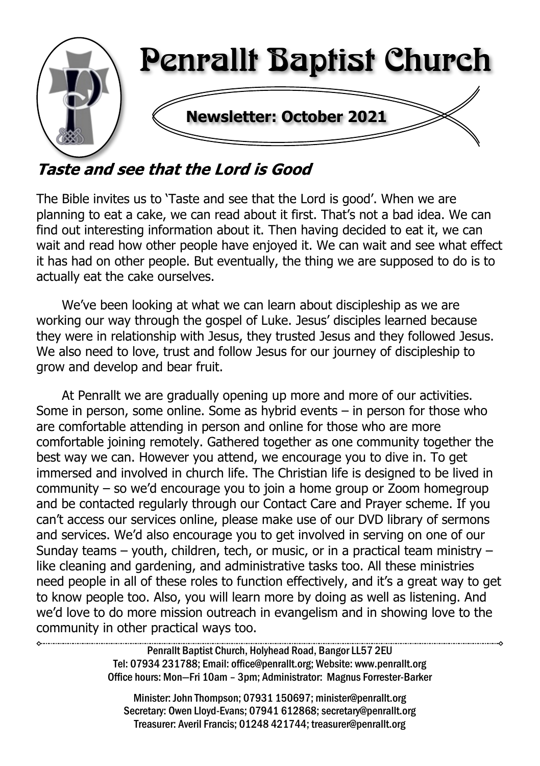

# Taste and see that the Lord is Good

The Bible invites us to 'Taste and see that the Lord is good'. When we are planning to eat a cake, we can read about it first. That's not a bad idea. We can find out interesting information about it. Then having decided to eat it, we can wait and read how other people have enjoyed it. We can wait and see what effect it has had on other people. But eventually, the thing we are supposed to do is to actually eat the cake ourselves.

We've been looking at what we can learn about discipleship as we are working our way through the gospel of Luke. Jesus' disciples learned because they were in relationship with Jesus, they trusted Jesus and they followed Jesus. We also need to love, trust and follow Jesus for our journey of discipleship to grow and develop and bear fruit.

At Penrallt we are gradually opening up more and more of our activities. Some in person, some online. Some as hybrid events – in person for those who are comfortable attending in person and online for those who are more comfortable joining remotely. Gathered together as one community together the best way we can. However you attend, we encourage you to dive in. To get immersed and involved in church life. The Christian life is designed to be lived in community – so we'd encourage you to join a home group or Zoom homegroup and be contacted regularly through our Contact Care and Prayer scheme. If you can't access our services online, please make use of our DVD library of sermons and services. We'd also encourage you to get involved in serving on one of our Sunday teams – youth, children, tech, or music, or in a practical team ministry – like cleaning and gardening, and administrative tasks too. All these ministries need people in all of these roles to function effectively, and it's a great way to get to know people too. Also, you will learn more by doing as well as listening. And we'd love to do more mission outreach in evangelism and in showing love to the community in other practical ways too.

> Penrallt Baptist Church, Holyhead Road, Bangor LL57 2EU Tel: 07934 231788; Email: office@penrallt.org; Website: www.penrallt.org Office hours: Mon—Fri 10am – 3pm; Administrator: Magnus Forrester-Barker

Minister: John Thompson; 07931 150697; minister@penrallt.org Secretary: Owen Lloyd-Evans; 07941 612868; secretary@penrallt.org Treasurer: Averil Francis; 01248 421744; treasurer@penrallt.org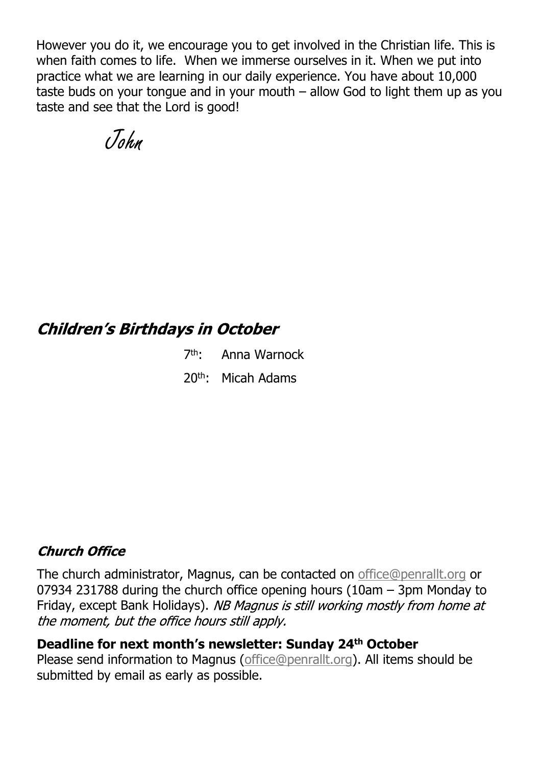However you do it, we encourage you to get involved in the Christian life. This is when faith comes to life. When we immerse ourselves in it. When we put into practice what we are learning in our daily experience. You have about 10,000 taste buds on your tongue and in your mouth – allow God to light them up as you taste and see that the Lord is good!

John

### **Children's Birthdays in October**

7 th: Anna Warnock 20th: Micah Adams

### **Church Office**

The church administrator, Magnus, can be contacted on [office@penrallt.org](mailto:office@penrallt.org) or 07934 231788 during the church office opening hours (10am – 3pm Monday to Friday, except Bank Holidays). NB Magnus is still working mostly from home at the moment, but the office hours still apply.

#### **Deadline for next month's newsletter: Sunday 24th October**

Please send information to Magnus [\(office@penrallt.org\)](mailto:office@penrallt.org). All items should be submitted by email as early as possible.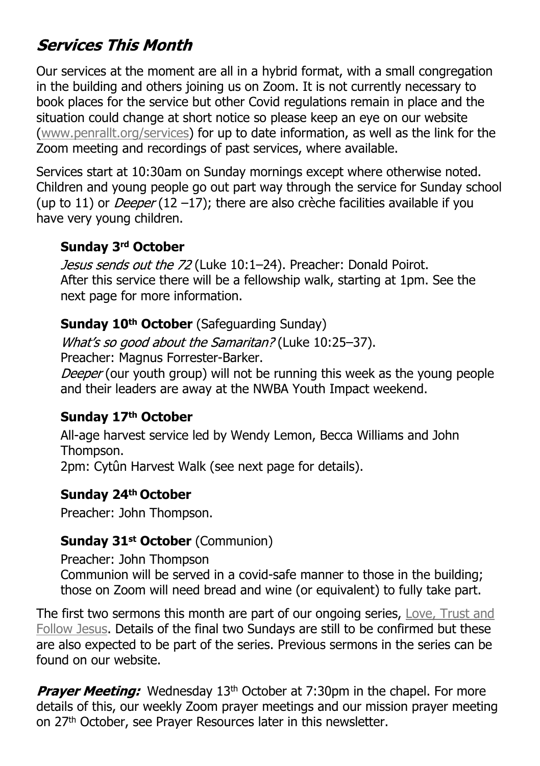# **Services This Month**

Our services at the moment are all in a hybrid format, with a small congregation in the building and others joining us on Zoom. It is not currently necessary to book places for the service but other Covid regulations remain in place and the situation could change at short notice so please keep an eye on our website [\(www.penrallt.org/services\)](https://www.penrallt.org/services/index.php) for up to date information, as well as the link for the Zoom meeting and recordings of past services, where available.

Services start at 10:30am on Sunday mornings except where otherwise noted. Children and young people go out part way through the service for Sunday school (up to 11) or *Deeper* (12 –17); there are also crèche facilities available if you have very young children.

### **Sunday 3rd October**

Jesus sends out the 72 (Luke 10:1-24). Preacher: Donald Poirot. After this service there will be a fellowship walk, starting at 1pm. See the next page for more information.

### **Sunday 10th October** (Safeguarding Sunday)

What's so good about the Samaritan? (Luke 10:25-37).

Preacher: Magnus Forrester-Barker.

Deeper (our youth group) will not be running this week as the young people and their leaders are away at the NWBA Youth Impact weekend.

### **Sunday 17th October**

All-age harvest service led by Wendy Lemon, Becca Williams and John Thompson. 2pm: Cytûn Harvest Walk (see next page for details).

### **Sunday 24th October**

Preacher: John Thompson.

### **Sunday 31st October** (Communion)

Preacher: John Thompson Communion will be served in a covid-safe manner to those in the building; those on Zoom will need bread and wine (or equivalent) to fully take part.

The first two sermons this month are part of our ongoing series, [Love, Trust and](https://www.penrallt.org/sermons/series.php?sid=BAC) [Follow Jesus](https://www.penrallt.org/sermons/series.php?sid=BAC). Details of the final two Sundays are still to be confirmed but these are also expected to be part of the series. Previous sermons in the series can be found on our website.

**Praver Meeting:** Wednesday 13<sup>th</sup> October at 7:30pm in the chapel. For more details of this, our weekly Zoom prayer meetings and our mission prayer meeting on 27<sup>th</sup> October, see Prayer Resources later in this newsletter.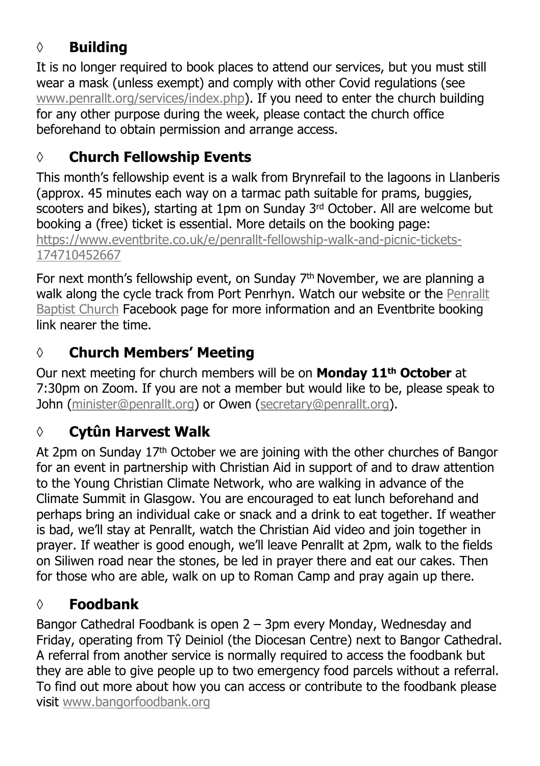# **◊ Building**

It is no longer required to book places to attend our services, but you must still wear a mask (unless exempt) and comply with other Covid regulations (see [www.penrallt.org/services/index.php](https://www.penrallt.org/services/index.php)). If you need to enter the church building for any other purpose during the week, please contact the church office beforehand to obtain permission and arrange access.

# **◊ Church Fellowship Events**

This month's fellowship event is a walk from Brynrefail to the lagoons in Llanberis (approx. 45 minutes each way on a tarmac path suitable for prams, buggies, scooters and bikes), starting at 1pm on Sunday 3rd October. All are welcome but booking a (free) ticket is essential. More details on the booking page: [https://www.eventbrite.co.uk/e/penrallt-fellowship-walk-and-picnic-tickets-](https://www.eventbrite.co.uk/e/penrallt-fellowship-walk-and-picnic-tickets-174710452667)[174710452667](https://www.eventbrite.co.uk/e/penrallt-fellowship-walk-and-picnic-tickets-174710452667)

For next month's fellowship event, on Sunday 7th November, we are planning a walk along the cycle track from Port Penrhyn. Watch our website or the [Penrallt](https://www.facebook.com/penralltbc) [Baptist Church](https://www.facebook.com/penralltbc) Facebook page for more information and an Eventbrite booking link nearer the time.

# **◊ Church Members' Meeting**

Our next meeting for church members will be on **Monday 11th October** at 7:30pm on Zoom. If you are not a member but would like to be, please speak to John [\(minister@penrallt.org](mailto:minister@penrallt.org)) or Owen [\(secretary@penrallt.org\)](mailto:secretary@penrallt.org).

# **◊ Cytûn Harvest Walk**

At 2pm on Sunday  $17<sup>th</sup>$  October we are joining with the other churches of Bangor for an event in partnership with Christian Aid in support of and to draw attention to the Young Christian Climate Network, who are walking in advance of the Climate Summit in Glasgow. You are encouraged to eat lunch beforehand and perhaps bring an individual cake or snack and a drink to eat together. If weather is bad, we'll stay at Penrallt, watch the Christian Aid video and join together in prayer. If weather is good enough, we'll leave Penrallt at 2pm, walk to the fields on Siliwen road near the stones, be led in prayer there and eat our cakes. Then for those who are able, walk on up to Roman Camp and pray again up there.

# **◊ Foodbank**

Bangor Cathedral Foodbank is open 2 – 3pm every Monday, Wednesday and Friday, operating from Tŷ Deiniol (the Diocesan Centre) next to Bangor Cathedral. A referral from another service is normally required to access the foodbank but they are able to give people up to two emergency food parcels without a referral. To find out more about how you can access or contribute to the foodbank please visit [www.bangorfoodbank.org](https://www.bangorfoodbank.org)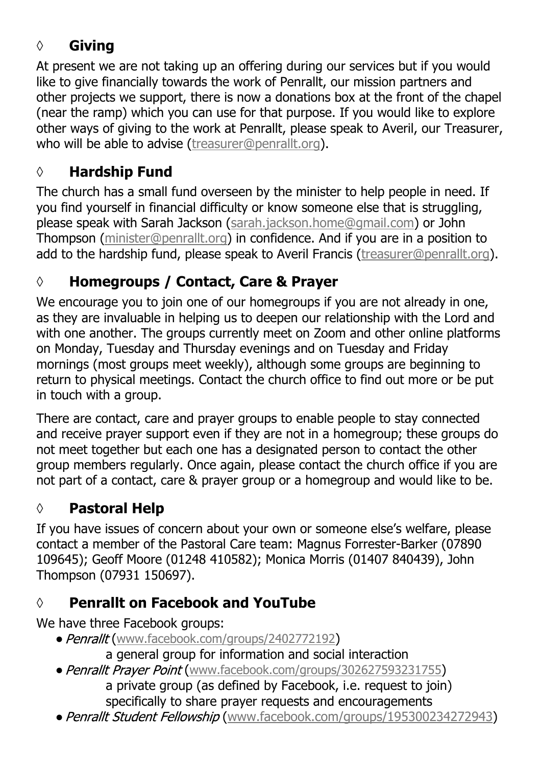# **◊ Giving**

At present we are not taking up an offering during our services but if you would like to give financially towards the work of Penrallt, our mission partners and other projects we support, there is now a donations box at the front of the chapel (near the ramp) which you can use for that purpose. If you would like to explore other ways of giving to the work at Penrallt, please speak to Averil, our Treasurer, who will be able to advise [\(treasurer@penrallt.org\)](mailto:treasurer@penrallt.org).

# **◊ Hardship Fund**

The church has a small fund overseen by the minister to help people in need. If you find yourself in financial difficulty or know someone else that is struggling, please speak with Sarah Jackson ([sarah.jackson.home@gmail.com](mailto:sarah.jackson.home@gmail.com)) or John Thompson ([minister@penrallt.org\)](mailto:minister@penrallt.org) in confidence. And if you are in a position to add to the hardship fund, please speak to Averil Francis ([treasurer@penrallt.org\)](mailto:treasurer@penrallt.org).

# **◊ Homegroups / Contact, Care & Prayer**

We encourage you to join one of our homegroups if you are not already in one, as they are invaluable in helping us to deepen our relationship with the Lord and with one another. The groups currently meet on Zoom and other online platforms on Monday, Tuesday and Thursday evenings and on Tuesday and Friday mornings (most groups meet weekly), although some groups are beginning to return to physical meetings. Contact the church office to find out more or be put in touch with a group.

There are contact, care and prayer groups to enable people to stay connected and receive prayer support even if they are not in a homegroup; these groups do not meet together but each one has a designated person to contact the other group members regularly. Once again, please contact the church office if you are not part of a contact, care & prayer group or a homegroup and would like to be.

# **◊ Pastoral Help**

If you have issues of concern about your own or someone else's welfare, please contact a member of the Pastoral Care team: Magnus Forrester-Barker (07890 109645); Geoff Moore (01248 410582); Monica Morris (01407 840439), John Thompson (07931 150697).

## **◊ Penrallt on Facebook and YouTube**

We have three Facebook groups:

- Penrallt ([www.facebook.com/groups/2402772192](https://www.facebook.com/groups/2402772192))
	- a general group for information and social interaction
- Penrallt Praver Point ([www.facebook.com/groups/302627593231755](https://www.facebook.com/groups/302627593231755)) a private group (as defined by Facebook, i.e. request to join) specifically to share prayer requests and encouragements
- Penrallt Student Fellowship ([www.facebook.com/groups/195300234272943](https://www.facebook.com/groups/195300234272943))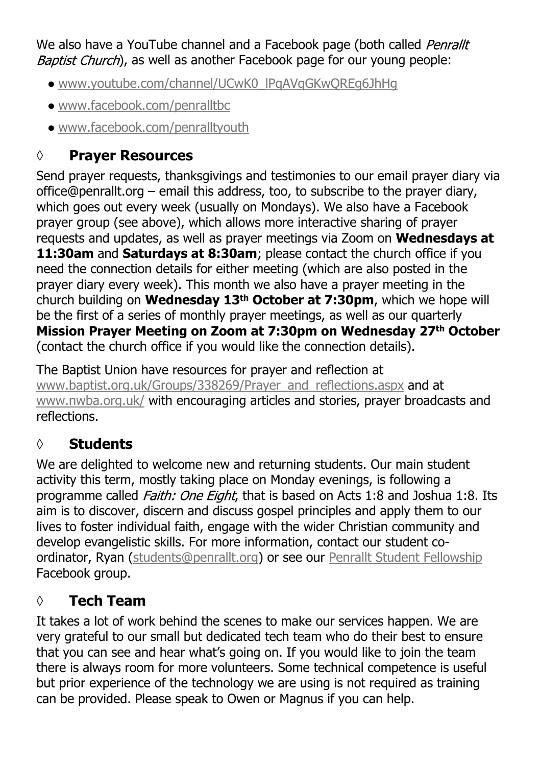We also have a YouTube channel and a Facebook page (both called *Penrallt* Baptist Church), as well as another Facebook page for our young people:

- [www.youtube.com/channel/UCwK0\\_lPqAVqGKwQREg6JhHg](https://www.youtube.com/channel/UCwK0_lPqAVqGKwQREg6JhHg)
- [www.facebook.com/penralltbc](https://www.facebook.com/penralltbc)
- [www.facebook.com/penralltyouth](https://www.facebook.com/penralltyouth)

# **◊ Prayer Resources**

Send prayer requests, thanksgivings and testimonies to our email prayer diary via office@penrallt.org – email this address, too, to subscribe to the prayer diary, which goes out every week (usually on Mondays). We also have a Facebook prayer group (see above), which allows more interactive sharing of prayer requests and updates, as well as prayer meetings via Zoom on **Wednesdays at 11:30am** and **Saturdays at 8:30am**; please contact the church office if you need the connection details for either meeting (which are also posted in the prayer diary every week). This month we also have a prayer meeting in the church building on **Wednesday 13th October at 7:30pm**, which we hope will be the first of a series of monthly prayer meetings, as well as our quarterly **Mission Prayer Meeting on Zoom at 7:30pm on Wednesday 27th October** (contact the church office if you would like the connection details).

The Baptist Union have resources for prayer and reflection at [www.baptist.org.uk/Groups/338269/Prayer\\_and\\_reflections.aspx](https://www.baptist.org.uk/Groups/338269/Prayer_and_reflections.aspx) and at [www.nwba.org.uk/](http://www.nwba.org.uk/) with encouraging articles and stories, prayer broadcasts and reflections.

# **◊ Students**

We are delighted to welcome new and returning students. Our main student activity this term, mostly taking place on Monday evenings, is following a programme called *Faith: One Eight*, that is based on Acts 1:8 and Joshua 1:8. Its aim is to discover, discern and discuss gospel principles and apply them to our lives to foster individual faith, engage with the wider Christian community and develop evangelistic skills. For more information, contact our student coordinator, Ryan ([students@penrallt.org\)](mailto:students@penrallt.org) or see our [Penrallt Student Fellowship](https://www.facebook.com/groups/195300234272943) Facebook group.

# **◊ Tech Team**

It takes a lot of work behind the scenes to make our services happen. We are very grateful to our small but dedicated tech team who do their best to ensure that you can see and hear what's going on. If you would like to join the team there is always room for more volunteers. Some technical competence is useful but prior experience of the technology we are using is not required as training can be provided. Please speak to Owen or Magnus if you can help.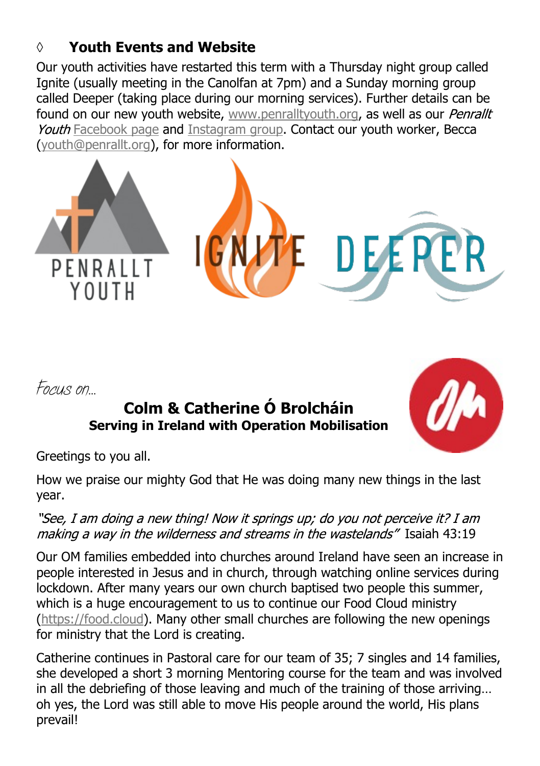## **◊ Youth Events and Website**

Our youth activities have restarted this term with a Thursday night group called Ignite (usually meeting in the Canolfan at 7pm) and a Sunday morning group called Deeper (taking place during our morning services). Further details can be found on our new youth website, [www.penralltyouth.org,](https://www.penralltyouth.org/) as well as our Penrallt Youth [Facebook page](https://www.facebook.com/penralltyouth) and [Instagram group](https://www.instagram.com/penralltyouth/). Contact our youth worker, Becca [\(youth@penrallt.org\)](mailto:youth@penrallt.org), for more information.



*Focus on…*

# **Colm & Catherine Ó Brolcháin Serving in Ireland with Operation Mobilisation**



Greetings to you all.

How we praise our mighty God that He was doing many new things in the last year.

"See, I am doing a new thing! Now it springs up; do you not perceive it? I am making a way in the wilderness and streams in the wastelands" Isaiah 43:19

Our OM families embedded into churches around Ireland have seen an increase in people interested in Jesus and in church, through watching online services during lockdown. After many years our own church baptised two people this summer, which is a huge encouragement to us to continue our Food Cloud ministry [\(https://food.cloud\)](https://food.cloud). Many other small churches are following the new openings for ministry that the Lord is creating.

Catherine continues in Pastoral care for our team of 35; 7 singles and 14 families, she developed a short 3 morning Mentoring course for the team and was involved in all the debriefing of those leaving and much of the training of those arriving… oh yes, the Lord was still able to move His people around the world, His plans prevail!